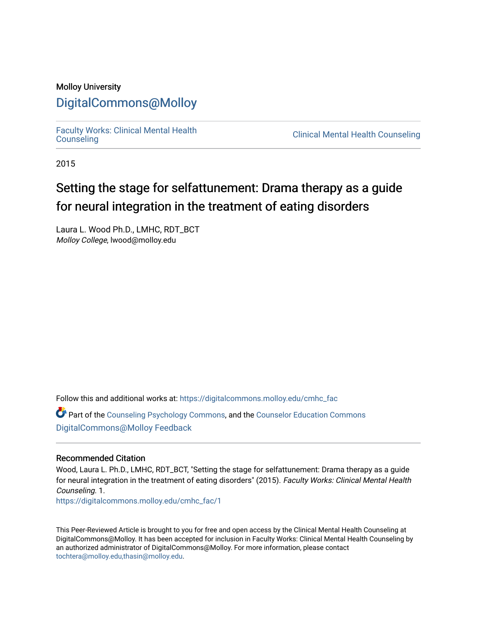### Molloy University [DigitalCommons@Molloy](https://digitalcommons.molloy.edu/)

[Faculty Works: Clinical Mental Health](https://digitalcommons.molloy.edu/cmhc_fac) 

**Clinical Mental Health Counseling** 

2015

## Setting the stage for selfattunement: Drama therapy as a guide for neural integration in the treatment of eating disorders

Laura L. Wood Ph.D., LMHC, RDT\_BCT Molloy College, lwood@molloy.edu

Follow this and additional works at: [https://digitalcommons.molloy.edu/cmhc\\_fac](https://digitalcommons.molloy.edu/cmhc_fac?utm_source=digitalcommons.molloy.edu%2Fcmhc_fac%2F1&utm_medium=PDF&utm_campaign=PDFCoverPages) 

Part of the [Counseling Psychology Commons](https://network.bepress.com/hgg/discipline/1044?utm_source=digitalcommons.molloy.edu%2Fcmhc_fac%2F1&utm_medium=PDF&utm_campaign=PDFCoverPages), and the [Counselor Education Commons](https://network.bepress.com/hgg/discipline/1278?utm_source=digitalcommons.molloy.edu%2Fcmhc_fac%2F1&utm_medium=PDF&utm_campaign=PDFCoverPages)  [DigitalCommons@Molloy Feedback](https://molloy.libwizard.com/f/dcfeedback)

#### Recommended Citation

Wood, Laura L. Ph.D., LMHC, RDT\_BCT, "Setting the stage for selfattunement: Drama therapy as a guide for neural integration in the treatment of eating disorders" (2015). Faculty Works: Clinical Mental Health Counseling. 1.

[https://digitalcommons.molloy.edu/cmhc\\_fac/1](https://digitalcommons.molloy.edu/cmhc_fac/1?utm_source=digitalcommons.molloy.edu%2Fcmhc_fac%2F1&utm_medium=PDF&utm_campaign=PDFCoverPages) 

This Peer-Reviewed Article is brought to you for free and open access by the Clinical Mental Health Counseling at DigitalCommons@Molloy. It has been accepted for inclusion in Faculty Works: Clinical Mental Health Counseling by an authorized administrator of DigitalCommons@Molloy. For more information, please contact [tochtera@molloy.edu,thasin@molloy.edu](mailto:tochtera@molloy.edu,thasin@molloy.edu).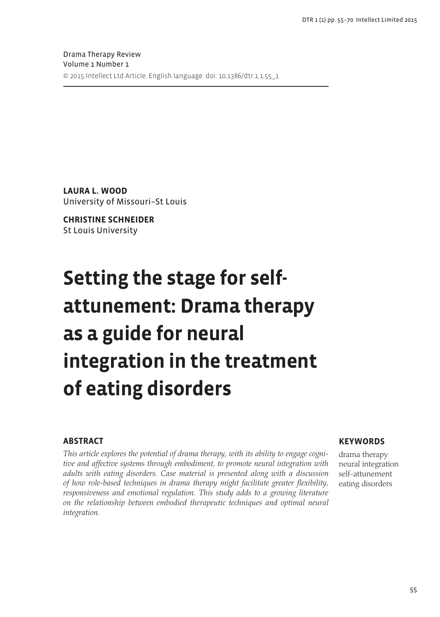**Laura L. Wood** University of Missouri–St Louis

**Christine Schneider** St Louis University

# **Setting the stage for selfattunement: Drama therapy as a guide for neural integration in the treatment of eating disorders**

#### **Abstract**

*This article explores the potential of drama therapy, with its ability to engage cognitive and affective systems through embodiment, to promote neural integration with adults with eating disorders. Case material is presented along with a discussion of how role-based techniques in drama therapy might facilitate greater flexibility, responsiveness and emotional regulation. This study adds to a growing literature on the relationship between embodied therapeutic techniques and optimal neural integration.* 

#### **Keywords**

drama therapy neural integration self-attunement eating disorders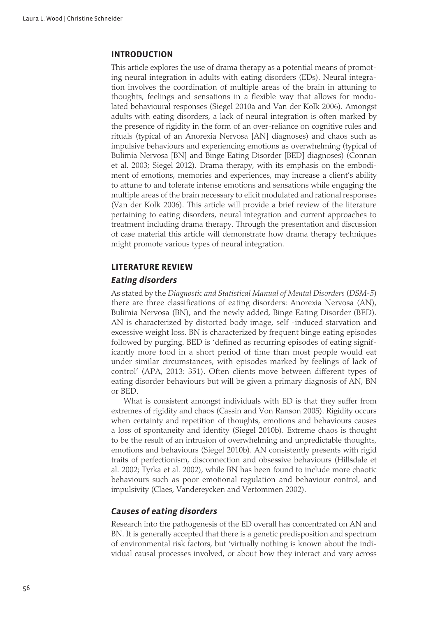#### **Introduction**

This article explores the use of drama therapy as a potential means of promoting neural integration in adults with eating disorders (EDs). Neural integration involves the coordination of multiple areas of the brain in attuning to thoughts, feelings and sensations in a flexible way that allows for modulated behavioural responses (Siegel 2010a and Van der Kolk 2006). Amongst adults with eating disorders, a lack of neural integration is often marked by the presence of rigidity in the form of an over-reliance on cognitive rules and rituals (typical of an Anorexia Nervosa [AN] diagnoses) and chaos such as impulsive behaviours and experiencing emotions as overwhelming (typical of Bulimia Nervosa [BN] and Binge Eating Disorder [BED] diagnoses) (Connan et al. 2003; Siegel 2012). Drama therapy, with its emphasis on the embodiment of emotions, memories and experiences, may increase a client's ability to attune to and tolerate intense emotions and sensations while engaging the multiple areas of the brain necessary to elicit modulated and rational responses (Van der Kolk 2006). This article will provide a brief review of the literature pertaining to eating disorders, neural integration and current approaches to treatment including drama therapy. Through the presentation and discussion of case material this article will demonstrate how drama therapy techniques might promote various types of neural integration.

#### **Literature review**

#### *Eating disorders*

As stated by the *Diagnostic and Statistical Manual of Mental Disorders* (*DSM-5*) there are three classifications of eating disorders: Anorexia Nervosa (AN), Bulimia Nervosa (BN), and the newly added, Binge Eating Disorder (BED). AN is characterized by distorted body image, self -induced starvation and excessive weight loss. BN is characterized by frequent binge eating episodes followed by purging. BED is 'defined as recurring episodes of eating significantly more food in a short period of time than most people would eat under similar circumstances, with episodes marked by feelings of lack of control' (APA, 2013: 351). Often clients move between different types of eating disorder behaviours but will be given a primary diagnosis of AN, BN or BED.

What is consistent amongst individuals with ED is that they suffer from extremes of rigidity and chaos (Cassin and Von Ranson 2005). Rigidity occurs when certainty and repetition of thoughts, emotions and behaviours causes a loss of spontaneity and identity (Siegel 2010b). Extreme chaos is thought to be the result of an intrusion of overwhelming and unpredictable thoughts, emotions and behaviours (Siegel 2010b). AN consistently presents with rigid traits of perfectionism, disconnection and obsessive behaviours (Hillsdale et al. 2002; Tyrka et al. 2002), while BN has been found to include more chaotic behaviours such as poor emotional regulation and behaviour control, and impulsivity (Claes, Vandereycken and Vertommen 2002).

#### *Causes of eating disorders*

Research into the pathogenesis of the ED overall has concentrated on AN and BN. It is generally accepted that there is a genetic predisposition and spectrum of environmental risk factors, but 'virtually nothing is known about the individual causal processes involved, or about how they interact and vary across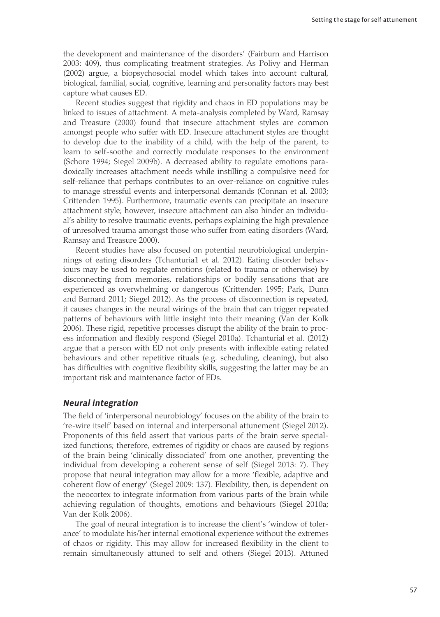the development and maintenance of the disorders' (Fairburn and Harrison 2003: 409), thus complicating treatment strategies. As Polivy and Herman (2002) argue, a biopsychosocial model which takes into account cultural, biological, familial, social, cognitive, learning and personality factors may best capture what causes ED.

Recent studies suggest that rigidity and chaos in ED populations may be linked to issues of attachment. A meta-analysis completed by Ward, Ramsay and Treasure (2000) found that insecure attachment styles are common amongst people who suffer with ED. Insecure attachment styles are thought to develop due to the inability of a child, with the help of the parent, to learn to self-soothe and correctly modulate responses to the environment (Schore 1994; Siegel 2009b). A decreased ability to regulate emotions paradoxically increases attachment needs while instilling a compulsive need for self-reliance that perhaps contributes to an over-reliance on cognitive rules to manage stressful events and interpersonal demands (Connan et al. 2003; Crittenden 1995). Furthermore, traumatic events can precipitate an insecure attachment style; however, insecure attachment can also hinder an individual's ability to resolve traumatic events, perhaps explaining the high prevalence of unresolved trauma amongst those who suffer from eating disorders (Ward, Ramsay and Treasure 2000).

Recent studies have also focused on potential neurobiological underpinnings of eating disorders (Tchanturia1 et al. 2012). Eating disorder behaviours may be used to regulate emotions (related to trauma or otherwise) by disconnecting from memories, relationships or bodily sensations that are experienced as overwhelming or dangerous (Crittenden 1995; Park, Dunn and Barnard 2011; Siegel 2012). As the process of disconnection is repeated, it causes changes in the neural wirings of the brain that can trigger repeated patterns of behaviours with little insight into their meaning (Van der Kolk 2006). These rigid, repetitive processes disrupt the ability of the brain to process information and flexibly respond (Siegel 2010a). Tchanturial et al. (2012) argue that a person with ED not only presents with inflexible eating related behaviours and other repetitive rituals (e.g. scheduling, cleaning), but also has difficulties with cognitive flexibility skills, suggesting the latter may be an important risk and maintenance factor of EDs.

#### *Neural integration*

The field of 'interpersonal neurobiology' focuses on the ability of the brain to 're-wire itself' based on internal and interpersonal attunement (Siegel 2012). Proponents of this field assert that various parts of the brain serve specialized functions; therefore, extremes of rigidity or chaos are caused by regions of the brain being 'clinically dissociated' from one another, preventing the individual from developing a coherent sense of self (Siegel 2013: 7). They propose that neural integration may allow for a more 'flexible, adaptive and coherent flow of energy' (Siegel 2009: 137). Flexibility, then, is dependent on the neocortex to integrate information from various parts of the brain while achieving regulation of thoughts, emotions and behaviours (Siegel 2010a; Van der Kolk 2006).

The goal of neural integration is to increase the client's 'window of tolerance' to modulate his/her internal emotional experience without the extremes of chaos or rigidity. This may allow for increased flexibility in the client to remain simultaneously attuned to self and others (Siegel 2013). Attuned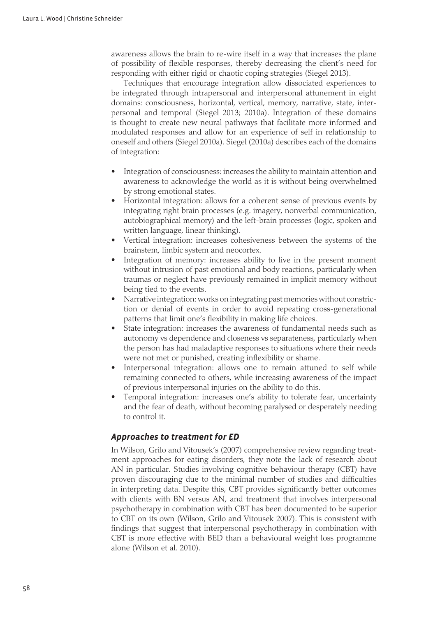awareness allows the brain to re-wire itself in a way that increases the plane of possibility of flexible responses, thereby decreasing the client's need for responding with either rigid or chaotic coping strategies (Siegel 2013).

Techniques that encourage integration allow dissociated experiences to be integrated through intrapersonal and interpersonal attunement in eight domains: consciousness, horizontal, vertical, memory, narrative, state, interpersonal and temporal (Siegel 2013; 2010a). Integration of these domains is thought to create new neural pathways that facilitate more informed and modulated responses and allow for an experience of self in relationship to oneself and others (Siegel 2010a). Siegel (2010a) describes each of the domains of integration:

- Integration of consciousness: increases the ability to maintain attention and awareness to acknowledge the world as it is without being overwhelmed by strong emotional states.
- • Horizontal integration: allows for a coherent sense of previous events by integrating right brain processes (e.g. imagery, nonverbal communication, autobiographical memory) and the left-brain processes (logic, spoken and written language, linear thinking).
- • Vertical integration: increases cohesiveness between the systems of the brainstem, limbic system and neocortex.
- Integration of memory: increases ability to live in the present moment without intrusion of past emotional and body reactions, particularly when traumas or neglect have previously remained in implicit memory without being tied to the events.
- Narrative integration: works on integrating past memories without constriction or denial of events in order to avoid repeating cross-generational patterns that limit one's flexibility in making life choices.
- State integration: increases the awareness of fundamental needs such as autonomy vs dependence and closeness vs separateness, particularly when the person has had maladaptive responses to situations where their needs were not met or punished, creating inflexibility or shame.
- Interpersonal integration: allows one to remain attuned to self while remaining connected to others, while increasing awareness of the impact of previous interpersonal injuries on the ability to do this.
- Temporal integration: increases one's ability to tolerate fear, uncertainty and the fear of death, without becoming paralysed or desperately needing to control it.

#### *Approaches to treatment for ED*

In Wilson, Grilo and Vitousek's (2007) comprehensive review regarding treatment approaches for eating disorders, they note the lack of research about AN in particular. Studies involving cognitive behaviour therapy (CBT) have proven discouraging due to the minimal number of studies and difficulties in interpreting data. Despite this, CBT provides significantly better outcomes with clients with BN versus AN, and treatment that involves interpersonal psychotherapy in combination with CBT has been documented to be superior to CBT on its own (Wilson, Grilo and Vitousek 2007). This is consistent with findings that suggest that interpersonal psychotherapy in combination with CBT is more effective with BED than a behavioural weight loss programme alone (Wilson et al. 2010).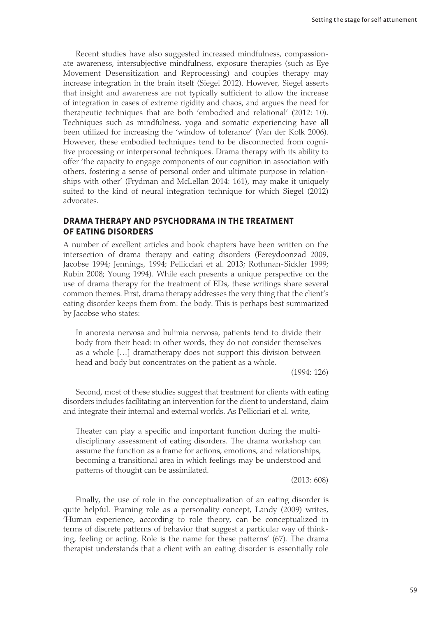Recent studies have also suggested increased mindfulness, compassionate awareness, intersubjective mindfulness, exposure therapies (such as Eye Movement Desensitization and Reprocessing) and couples therapy may increase integration in the brain itself (Siegel 2012). However, Siegel asserts that insight and awareness are not typically sufficient to allow the increase of integration in cases of extreme rigidity and chaos, and argues the need for therapeutic techniques that are both 'embodied and relational' (2012: 10). Techniques such as mindfulness, yoga and somatic experiencing have all been utilized for increasing the 'window of tolerance' (Van der Kolk 2006). However, these embodied techniques tend to be disconnected from cognitive processing or interpersonal techniques. Drama therapy with its ability to offer 'the capacity to engage components of our cognition in association with others, fostering a sense of personal order and ultimate purpose in relationships with other' (Frydman and McLellan 2014: 161), may make it uniquely suited to the kind of neural integration technique for which Siegel (2012) advocates.

#### **Drama therapy and psychodrama in the treatment of eating disorders**

A number of excellent articles and book chapters have been written on the intersection of drama therapy and eating disorders (Fereydoonzad 2009, Jacobse 1994; Jennings, 1994; Pellicciari et al. 2013; Rothman-Sickler 1999; Rubin 2008; Young 1994). While each presents a unique perspective on the use of drama therapy for the treatment of EDs, these writings share several common themes. First, drama therapy addresses the very thing that the client's eating disorder keeps them from: the body. This is perhaps best summarized by Jacobse who states:

In anorexia nervosa and bulimia nervosa, patients tend to divide their body from their head: in other words, they do not consider themselves as a whole […] dramatherapy does not support this division between head and body but concentrates on the patient as a whole.

(1994: 126)

Second, most of these studies suggest that treatment for clients with eating disorders includes facilitating an intervention for the client to understand, claim and integrate their internal and external worlds. As Pellicciari et al. write,

Theater can play a specific and important function during the multidisciplinary assessment of eating disorders. The drama workshop can assume the function as a frame for actions, emotions, and relationships, becoming a transitional area in which feelings may be understood and patterns of thought can be assimilated.

(2013: 608)

Finally, the use of role in the conceptualization of an eating disorder is quite helpful. Framing role as a personality concept, Landy (2009) writes, 'Human experience, according to role theory, can be conceptualized in terms of discrete patterns of behavior that suggest a particular way of thinking, feeling or acting. Role is the name for these patterns' (67). The drama therapist understands that a client with an eating disorder is essentially role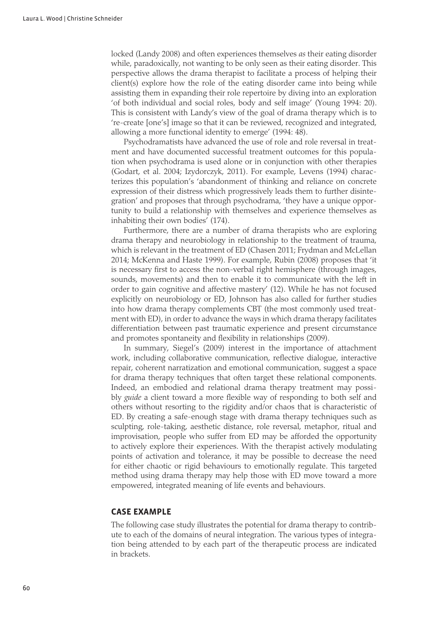locked (Landy 2008) and often experiences themselves *as* their eating disorder while, paradoxically, not wanting to be only seen as their eating disorder. This perspective allows the drama therapist to facilitate a process of helping their client(s) explore how the role of the eating disorder came into being while assisting them in expanding their role repertoire by diving into an exploration 'of both individual and social roles, body and self image' (Young 1994: 20). This is consistent with Landy's view of the goal of drama therapy which is to 're-create [one's] image so that it can be reviewed, recognized and integrated, allowing a more functional identity to emerge' (1994: 48).

Psychodramatists have advanced the use of role and role reversal in treatment and have documented successful treatment outcomes for this population when psychodrama is used alone or in conjunction with other therapies (Godart, et al. 2004; Izydorczyk, 2011). For example, Levens (1994) characterizes this population's 'abandonment of thinking and reliance on concrete expression of their distress which progressively leads them to further disintegration' and proposes that through psychodrama, 'they have a unique opportunity to build a relationship with themselves and experience themselves as inhabiting their own bodies' (174).

Furthermore, there are a number of drama therapists who are exploring drama therapy and neurobiology in relationship to the treatment of trauma, which is relevant in the treatment of ED (Chasen 2011; Frydman and McLellan 2014; McKenna and Haste 1999). For example, Rubin (2008) proposes that 'it is necessary first to access the non-verbal right hemisphere (through images, sounds, movements) and then to enable it to communicate with the left in order to gain cognitive and affective mastery' (12). While he has not focused explicitly on neurobiology or ED, Johnson has also called for further studies into how drama therapy complements CBT (the most commonly used treatment with ED), in order to advance the ways in which drama therapy facilitates differentiation between past traumatic experience and present circumstance and promotes spontaneity and flexibility in relationships (2009).

In summary, Siegel's (2009) interest in the importance of attachment work, including collaborative communication, reflective dialogue, interactive repair, coherent narratization and emotional communication, suggest a space for drama therapy techniques that often target these relational components. Indeed, an embodied and relational drama therapy treatment may possibly *guide* a client toward a more flexible way of responding to both self and others without resorting to the rigidity and/or chaos that is characteristic of ED. By creating a safe-enough stage with drama therapy techniques such as sculpting, role-taking, aesthetic distance, role reversal, metaphor, ritual and improvisation, people who suffer from ED may be afforded the opportunity to actively explore their experiences. With the therapist actively modulating points of activation and tolerance, it may be possible to decrease the need for either chaotic or rigid behaviours to emotionally regulate. This targeted method using drama therapy may help those with ED move toward a more empowered, integrated meaning of life events and behaviours.

#### **Case example**

The following case study illustrates the potential for drama therapy to contribute to each of the domains of neural integration. The various types of integration being attended to by each part of the therapeutic process are indicated in brackets.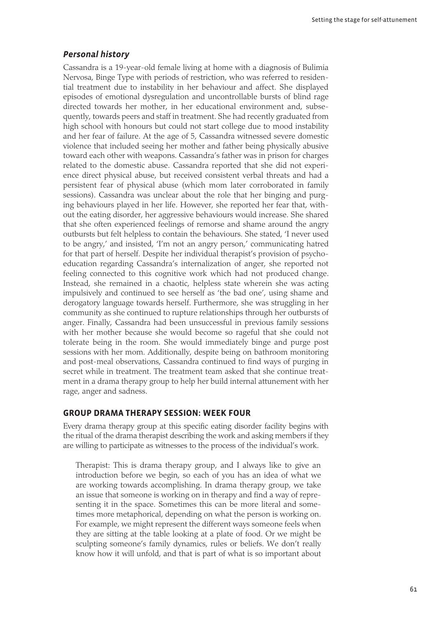#### *Personal history*

Cassandra is a 19-year-old female living at home with a diagnosis of Bulimia Nervosa, Binge Type with periods of restriction, who was referred to residential treatment due to instability in her behaviour and affect. She displayed episodes of emotional dysregulation and uncontrollable bursts of blind rage directed towards her mother, in her educational environment and, subsequently, towards peers and staff in treatment. She had recently graduated from high school with honours but could not start college due to mood instability and her fear of failure. At the age of 5, Cassandra witnessed severe domestic violence that included seeing her mother and father being physically abusive toward each other with weapons. Cassandra's father was in prison for charges related to the domestic abuse. Cassandra reported that she did not experience direct physical abuse, but received consistent verbal threats and had a persistent fear of physical abuse (which mom later corroborated in family sessions). Cassandra was unclear about the role that her binging and purging behaviours played in her life. However, she reported her fear that, without the eating disorder, her aggressive behaviours would increase. She shared that she often experienced feelings of remorse and shame around the angry outbursts but felt helpless to contain the behaviours. She stated, 'I never used to be angry,' and insisted, 'I'm not an angry person,' communicating hatred for that part of herself. Despite her individual therapist's provision of psychoeducation regarding Cassandra's internalization of anger, she reported not feeling connected to this cognitive work which had not produced change. Instead, she remained in a chaotic, helpless state wherein she was acting impulsively and continued to see herself as 'the bad one', using shame and derogatory language towards herself. Furthermore, she was struggling in her community as she continued to rupture relationships through her outbursts of anger. Finally, Cassandra had been unsuccessful in previous family sessions with her mother because she would become so rageful that she could not tolerate being in the room. She would immediately binge and purge post sessions with her mom. Additionally, despite being on bathroom monitoring and post-meal observations, Cassandra continued to find ways of purging in secret while in treatment. The treatment team asked that she continue treatment in a drama therapy group to help her build internal attunement with her rage, anger and sadness.

#### **Group drama therapy session: Week four**

Every drama therapy group at this specific eating disorder facility begins with the ritual of the drama therapist describing the work and asking members if they are willing to participate as witnesses to the process of the individual's work.

Therapist: This is drama therapy group, and I always like to give an introduction before we begin, so each of you has an idea of what we are working towards accomplishing. In drama therapy group, we take an issue that someone is working on in therapy and find a way of representing it in the space. Sometimes this can be more literal and sometimes more metaphorical, depending on what the person is working on. For example, we might represent the different ways someone feels when they are sitting at the table looking at a plate of food. Or we might be sculpting someone's family dynamics, rules or beliefs. We don't really know how it will unfold, and that is part of what is so important about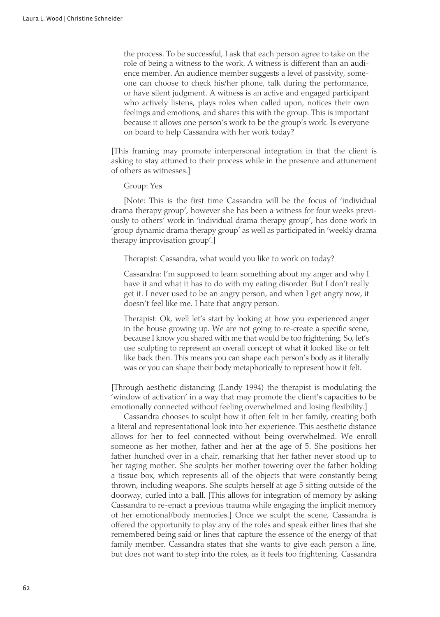the process. To be successful, I ask that each person agree to take on the role of being a witness to the work. A witness is different than an audience member. An audience member suggests a level of passivity, someone can choose to check his/her phone, talk during the performance, or have silent judgment. A witness is an active and engaged participant who actively listens, plays roles when called upon, notices their own feelings and emotions, and shares this with the group. This is important because it allows one person's work to be the group's work. Is everyone on board to help Cassandra with her work today?

[This framing may promote interpersonal integration in that the client is asking to stay attuned to their process while in the presence and attunement of others as witnesses.]

Group: Yes

[Note: This is the first time Cassandra will be the focus of 'individual drama therapy group', however she has been a witness for four weeks previously to others' work in 'individual drama therapy group', has done work in 'group dynamic drama therapy group' as well as participated in 'weekly drama therapy improvisation group'.]

Therapist: Cassandra, what would you like to work on today?

Cassandra: I'm supposed to learn something about my anger and why I have it and what it has to do with my eating disorder. But I don't really get it. I never used to be an angry person, and when I get angry now, it doesn't feel like me. I hate that angry person.

Therapist: Ok, well let's start by looking at how you experienced anger in the house growing up. We are not going to re-create a specific scene, because I know you shared with me that would be too frightening. So, let's use sculpting to represent an overall concept of what it looked like or felt like back then. This means you can shape each person's body as it literally was or you can shape their body metaphorically to represent how it felt.

[Through aesthetic distancing (Landy 1994) the therapist is modulating the 'window of activation' in a way that may promote the client's capacities to be emotionally connected without feeling overwhelmed and losing flexibility.]

Cassandra chooses to sculpt how it often felt in her family, creating both a literal and representational look into her experience. This aesthetic distance allows for her to feel connected without being overwhelmed. We enroll someone as her mother, father and her at the age of 5. She positions her father hunched over in a chair, remarking that her father never stood up to her raging mother. She sculpts her mother towering over the father holding a tissue box, which represents all of the objects that were constantly being thrown, including weapons. She sculpts herself at age 5 sitting outside of the doorway, curled into a ball. [This allows for integration of memory by asking Cassandra to re-enact a previous trauma while engaging the implicit memory of her emotional/body memories.] Once we sculpt the scene, Cassandra is offered the opportunity to play any of the roles and speak either lines that she remembered being said or lines that capture the essence of the energy of that family member. Cassandra states that she wants to give each person a line, but does not want to step into the roles, as it feels too frightening. Cassandra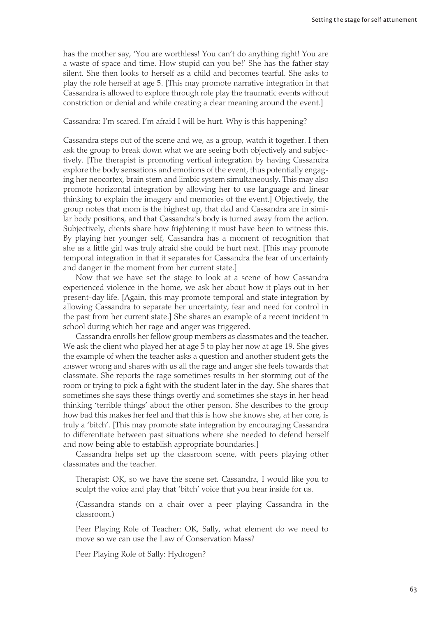has the mother say, 'You are worthless! You can't do anything right! You are a waste of space and time. How stupid can you be!' She has the father stay silent. She then looks to herself as a child and becomes tearful. She asks to play the role herself at age 5. [This may promote narrative integration in that Cassandra is allowed to explore through role play the traumatic events without constriction or denial and while creating a clear meaning around the event.]

Cassandra: I'm scared. I'm afraid I will be hurt. Why is this happening?

Cassandra steps out of the scene and we, as a group, watch it together. I then ask the group to break down what we are seeing both objectively and subjectively. [The therapist is promoting vertical integration by having Cassandra explore the body sensations and emotions of the event, thus potentially engaging her neocortex, brain stem and limbic system simultaneously. This may also promote horizontal integration by allowing her to use language and linear thinking to explain the imagery and memories of the event.] Objectively, the group notes that mom is the highest up, that dad and Cassandra are in similar body positions, and that Cassandra's body is turned away from the action. Subjectively, clients share how frightening it must have been to witness this. By playing her younger self, Cassandra has a moment of recognition that she as a little girl was truly afraid she could be hurt next. [This may promote temporal integration in that it separates for Cassandra the fear of uncertainty and danger in the moment from her current state.]

Now that we have set the stage to look at a scene of how Cassandra experienced violence in the home, we ask her about how it plays out in her present-day life. [Again, this may promote temporal and state integration by allowing Cassandra to separate her uncertainty, fear and need for control in the past from her current state.] She shares an example of a recent incident in school during which her rage and anger was triggered.

Cassandra enrolls her fellow group members as classmates and the teacher. We ask the client who played her at age 5 to play her now at age 19. She gives the example of when the teacher asks a question and another student gets the answer wrong and shares with us all the rage and anger she feels towards that classmate. She reports the rage sometimes results in her storming out of the room or trying to pick a fight with the student later in the day. She shares that sometimes she says these things overtly and sometimes she stays in her head thinking 'terrible things' about the other person. She describes to the group how bad this makes her feel and that this is how she knows she, at her core, is truly a 'bitch'. [This may promote state integration by encouraging Cassandra to differentiate between past situations where she needed to defend herself and now being able to establish appropriate boundaries.]

Cassandra helps set up the classroom scene, with peers playing other classmates and the teacher.

Therapist: OK, so we have the scene set. Cassandra, I would like you to sculpt the voice and play that 'bitch' voice that you hear inside for us.

(Cassandra stands on a chair over a peer playing Cassandra in the classroom.)

Peer Playing Role of Teacher: OK, Sally, what element do we need to move so we can use the Law of Conservation Mass?

Peer Playing Role of Sally: Hydrogen?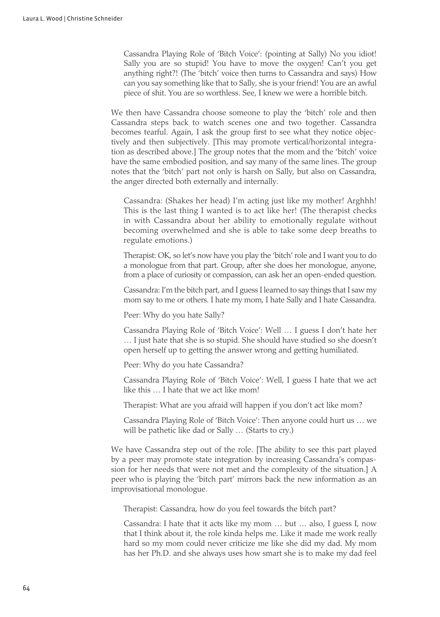Cassandra Playing Role of 'Bitch Voice': (pointing at Sally) No you idiot! Sally you are so stupid! You have to move the oxygen! Can't you get anything right?! (The 'bitch' voice then turns to Cassandra and says) How can you say something like that to Sally, she is your friend! You are an awful piece of shit. You are so worthless. See, I knew we were a horrible bitch.

We then have Cassandra choose someone to play the 'bitch' role and then Cassandra steps back to watch scenes one and two together. Cassandra becomes tearful. Again, I ask the group first to see what they notice objectively and then subjectively. [This may promote vertical/horizontal integration as described above.] The group notes that the mom and the 'bitch' voice have the same embodied position, and say many of the same lines. The group notes that the 'bitch' part not only is harsh on Sally, but also on Cassandra, the anger directed both externally and internally.

Cassandra: (Shakes her head) I'm acting just like my mother! Arghhh! This is the last thing I wanted is to act like her! (The therapist checks in with Cassandra about her ability to emotionally regulate without becoming overwhelmed and she is able to take some deep breaths to regulate emotions.)

Therapist: OK, so let's now have you play the 'bitch' role and I want you to do a monologue from that part. Group, after she does her monologue, anyone, from a place of curiosity or compassion, can ask her an open-ended question.

Cassandra: I'm the bitch part, and I guess I learned to say things that I saw my mom say to me or others. I hate my mom, I hate Sally and I hate Cassandra.

Peer: Why do you hate Sally?

Cassandra Playing Role of 'Bitch Voice': Well … I guess I don't hate her … I just hate that she is so stupid. She should have studied so she doesn't open herself up to getting the answer wrong and getting humiliated.

Peer: Why do you hate Cassandra?

Cassandra Playing Role of 'Bitch Voice': Well, I guess I hate that we act like this … I hate that we act like mom!

Therapist: What are you afraid will happen if you don't act like mom?

Cassandra Playing Role of 'Bitch Voice': Then anyone could hurt us … we will be pathetic like dad or Sally … (Starts to cry.)

We have Cassandra step out of the role. [The ability to see this part played by a peer may promote state integration by increasing Cassandra's compassion for her needs that were not met and the complexity of the situation.] A peer who is playing the 'bitch part' mirrors back the new information as an improvisational monologue.

Therapist: Cassandra, how do you feel towards the bitch part?

Cassandra: I hate that it acts like my mom … but … also, I guess I, now that I think about it, the role kinda helps me. Like it made me work really hard so my mom could never criticize me like she did my dad. My mom has her Ph.D. and she always uses how smart she is to make my dad feel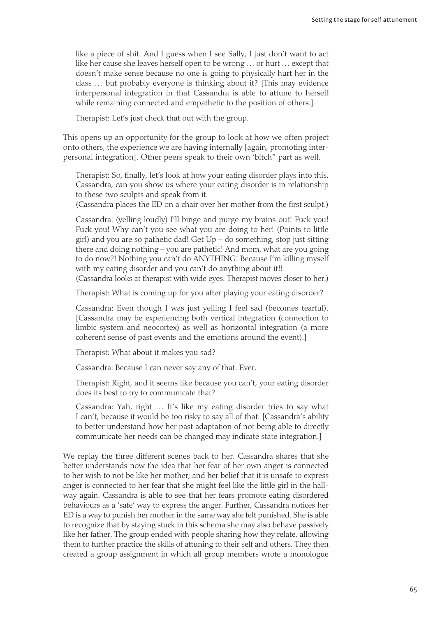like a piece of shit. And I guess when I see Sally, I just don't want to act like her cause she leaves herself open to be wrong … or hurt … except that doesn't make sense because no one is going to physically hurt her in the class … but probably everyone is thinking about it? [This may evidence interpersonal integration in that Cassandra is able to attune to herself while remaining connected and empathetic to the position of others.]

Therapist: Let's just check that out with the group.

This opens up an opportunity for the group to look at how we often project onto others, the experience we are having internally [again, promoting interpersonal integration]. Other peers speak to their own 'bitch" part as well.

Therapist: So, finally, let's look at how your eating disorder plays into this. Cassandra, can you show us where your eating disorder is in relationship to these two sculpts and speak from it.

(Cassandra places the ED on a chair over her mother from the first sculpt.)

Cassandra: (yelling loudly) I'll binge and purge my brains out! Fuck you! Fuck you! Why can't you see what you are doing to her! (Points to little girl) and you are so pathetic dad! Get Up – do something, stop just sitting there and doing nothing – you are pathetic! And mom, what are you going to do now?! Nothing you can't do ANYTHING! Because I'm killing myself with my eating disorder and you can't do anything about it!!

(Cassandra looks at therapist with wide eyes. Therapist moves closer to her.)

Therapist: What is coming up for you after playing your eating disorder?

Cassandra: Even though I was just yelling I feel sad (becomes tearful). [Cassandra may be experiencing both vertical integration (connection to limbic system and neocortex) as well as horizontal integration (a more coherent sense of past events and the emotions around the event).]

Therapist: What about it makes you sad?

Cassandra: Because I can never say any of that. Ever.

Therapist: Right, and it seems like because you can't, your eating disorder does its best to try to communicate that?

Cassandra: Yah, right … It's like my eating disorder tries to say what I can't, because it would be too risky to say all of that. [Cassandra's ability to better understand how her past adaptation of not being able to directly communicate her needs can be changed may indicate state integration.]

We replay the three different scenes back to her. Cassandra shares that she better understands now the idea that her fear of her own anger is connected to her wish to not be like her mother; and her belief that it is unsafe to express anger is connected to her fear that she might feel like the little girl in the hallway again. Cassandra is able to see that her fears promote eating disordered behaviours as a 'safe' way to express the anger. Further, Cassandra notices her ED is a way to punish her mother in the same way she felt punished. She is able to recognize that by staying stuck in this schema she may also behave passively like her father. The group ended with people sharing how they relate, allowing them to further practice the skills of attuning to their self and others. They then created a group assignment in which all group members wrote a monologue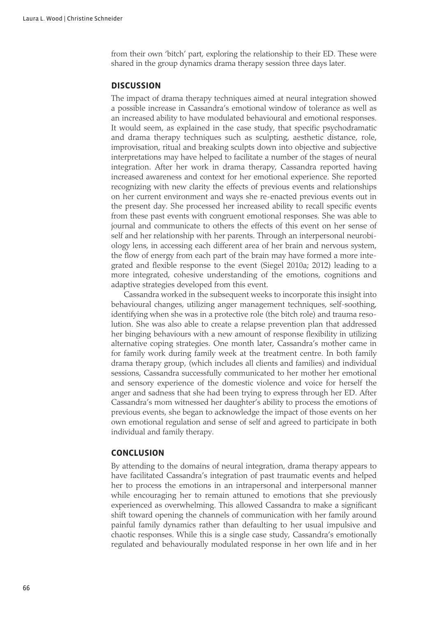from their own 'bitch' part, exploring the relationship to their ED. These were shared in the group dynamics drama therapy session three days later.

#### **Discussion**

The impact of drama therapy techniques aimed at neural integration showed a possible increase in Cassandra's emotional window of tolerance as well as an increased ability to have modulated behavioural and emotional responses. It would seem, as explained in the case study, that specific psychodramatic and drama therapy techniques such as sculpting, aesthetic distance, role, improvisation, ritual and breaking sculpts down into objective and subjective interpretations may have helped to facilitate a number of the stages of neural integration. After her work in drama therapy, Cassandra reported having increased awareness and context for her emotional experience. She reported recognizing with new clarity the effects of previous events and relationships on her current environment and ways she re-enacted previous events out in the present day. She processed her increased ability to recall specific events from these past events with congruent emotional responses. She was able to journal and communicate to others the effects of this event on her sense of self and her relationship with her parents. Through an interpersonal neurobiology lens, in accessing each different area of her brain and nervous system, the flow of energy from each part of the brain may have formed a more integrated and flexible response to the event (Siegel 2010a; 2012) leading to a more integrated, cohesive understanding of the emotions, cognitions and adaptive strategies developed from this event.

Cassandra worked in the subsequent weeks to incorporate this insight into behavioural changes, utilizing anger management techniques, self-soothing, identifying when she was in a protective role (the bitch role) and trauma resolution. She was also able to create a relapse prevention plan that addressed her binging behaviours with a new amount of response flexibility in utilizing alternative coping strategies. One month later, Cassandra's mother came in for family work during family week at the treatment centre. In both family drama therapy group, (which includes all clients and families) and individual sessions, Cassandra successfully communicated to her mother her emotional and sensory experience of the domestic violence and voice for herself the anger and sadness that she had been trying to express through her ED. After Cassandra's mom witnessed her daughter's ability to process the emotions of previous events, she began to acknowledge the impact of those events on her own emotional regulation and sense of self and agreed to participate in both individual and family therapy.

#### **Conclusion**

By attending to the domains of neural integration, drama therapy appears to have facilitated Cassandra's integration of past traumatic events and helped her to process the emotions in an intrapersonal and interpersonal manner while encouraging her to remain attuned to emotions that she previously experienced as overwhelming. This allowed Cassandra to make a significant shift toward opening the channels of communication with her family around painful family dynamics rather than defaulting to her usual impulsive and chaotic responses. While this is a single case study, Cassandra's emotionally regulated and behaviourally modulated response in her own life and in her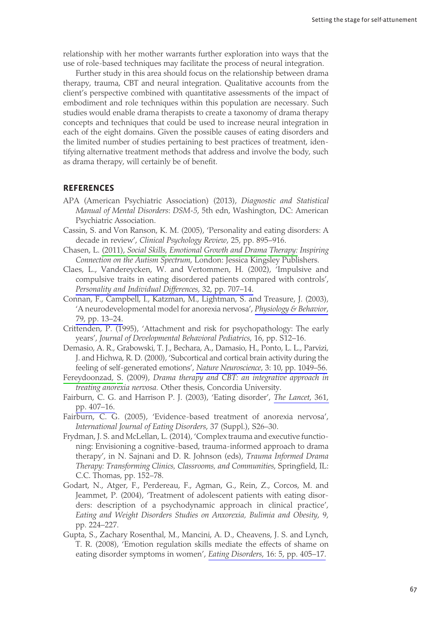relationship with her mother warrants further exploration into ways that the use of role-based techniques may facilitate the process of neural integration.

Further study in this area should focus on the relationship between drama therapy, trauma, CBT and neural integration. Qualitative accounts from the client's perspective combined with quantitative assessments of the impact of embodiment and role techniques within this population are necessary. Such studies would enable drama therapists to create a taxonomy of drama therapy concepts and techniques that could be used to increase neural integration in each of the eight domains. Given the possible causes of eating disorders and the limited number of studies pertaining to best practices of treatment, identifying alternative treatment methods that address and involve the body, such as drama therapy, will certainly be of benefit.

#### **References**

- APA (American Psychiatric Association) (2013), *Diagnostic and Statistical Manual of Mental Disorders*: *DSM-5*, 5th edn, Washington, DC: American Psychiatric Association.
- Cassin, S. and Von Ranson, K. M. (2005), 'Personality and eating disorders: A decade in review', *Clinical Psychology Review*, 25, pp. 895–916.
- C[hasen, L. \(2011\),](http://www.jkp.com/catalogue/book/9781849058407) *[Social Skills, Emotional Growth and Drama](http://www.jkp.com/catalogue/book/9781849058407) Therapy: Inspiring Connection on the Autism Spectrum*, London: Jessica Kingsley Publishers.
- Claes, L., Vandereycken, W. and Vertommen, H. (2002), 'Impulsive and compulsive traits in eating disordered patients compared with controls', *[Personality and Individual Differences](http://www.ingentaconnect.com/content/external-references?article=0191-8869()32L.707[aid=10425401])*, 32, pp. 707–14.
- Connan, F., Campbell, I., Katzman, M., Lightman, S. and Treasure, J. (2003), 'A neurodevelopmental model for anorexia nervosa', *[Physiology &](http://www.ingentaconnect.com/content/external-references?article=0031-9384()79L.13[aid=10425400]) Behavior*, [79, p](http://www.ingentaconnect.com/content/external-references?article=0031-9384()79L.13[aid=10425400])p. 13–24.
- Crittenden, P. (1995), 'Attachment and risk for psychopathology: The early years', *Journal of Developmental Behavioral Pediatrics*, 16, pp. S12–16.
- Demasio, A. R., Grabowski, T. J., Bechara, A., Damasio, H., Ponto, L. L., Parvizi, J. and Hichwa, R. D. (2000), 'Subcortical and cortical brain activity during the feeling of self-generated emotions', *[Nature Neuroscience](http://www.ingentaconnect.com/content/external-references?article=1097-6256()3:10L.1049[aid=8210497])*, 3: 10, pp. 1049–56.
- [Fereydoo](http://spectrum.library.concordia.ca/view/creators/Fereydoonzad=3ASaman=3A=3A.html)nzad, S. (2009), *Drama therapy and CBT: an integrative approach in treating anorexia nervosa.* Other thesis, Concordia University.
- Fairburn, C. G. and Harrison P. J. (2003), 'Eating [disorder',](http://www.ingentaconnect.com/content/external-references?article=0140-6736()361L.407[aid=6908065]) *The Lancet*, 361, [pp](http://www.ingentaconnect.com/content/external-references?article=0140-6736()361L.407[aid=6908065]). 407–16.
- Fairburn, C. G. (2005), 'Evidence-based treatment of anorexia nervosa', *International Journal of Eating Disorders*, 37 (Suppl.), S26–30.
- Frydman, J. S. and McLellan, L. (2014), 'Complex trauma and executive functioning: Envisioning a cognitive-based, trauma-informed approach to drama therapy', in N. Sajnani and D. R. Johnson (eds), *Trauma Informed Drama Therapy: Transforming Clinics, Classrooms, and Communities*, Springfield, IL: C.C. Thomas, pp. 152–78.
- Godart, N., Atger, F., Perdereau, F., Agman, G., Rein, Z., Corcos, M. and Jeammet, P. (2004), 'Treatment of adolescent patients with eating disorders: description of a psychodynamic approach in clinical practice', *Eating and Weight Disorders Studies on Anxorexia, Bulimia and Obesity*, 9, pp. 224–227.
- Gupta, S., Zachary Rosenthal, M., Mancini, A. D., Cheavens, J. S. and Lynch, T. R. (2008), 'Emotion regulation skills mediate the effects of shame on eating disorder symptoms in women', *[Eating Disorders](http://www.ingentaconnect.com/content/external-references?article=1064-0266()16:5L.405[aid=10425399])*, 16: 5, pp. 405–17.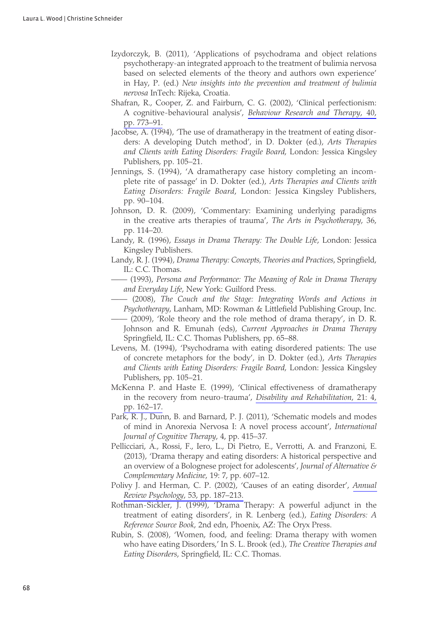- Izydorczyk, B. (2011), 'Applications of psychodrama and object relations psychotherapy-an integrated approach to the treatment of bulimia nervosa based on selected elements of the theory and authors own experience' in Hay, P. (ed.) *New insights into the prevention and treatment of bulimia nervosa* InTech: Rijeka, Croatia.
- Shafran, R., Cooper, Z. and Fairburn, C. G. (2002), 'Clinical perfectionism: A cognitive-behavioural analysis', *[Behaviour Research and The](http://www.ingentaconnect.com/content/external-references?article=0005-7967()40L.773[aid=6696992])rapy*, 40, [pp](http://www.ingentaconnect.com/content/external-references?article=0005-7967()40L.773[aid=6696992]). 773–91.
- Jacobse, A. (1994), 'The use of dramatherapy in the treatment of eating disorders: A developing Dutch method', in D. Dokter (ed.), *Arts Therapies and Clients with Eating Disorders: Fragile Board*, London: Jessica Kingsley Publishers, pp. 105–21.
- Jennings, S. (1994), 'A dramatherapy case history completing an incomplete rite of passage' in D. Dokter (ed.), *Arts Therapies and Clients with Eating Disorders: Fragile Board*, London: Jessica Kingsley Publishers, pp. 90–104.
- Johnson, D. R. (2009), 'Commentary: Examining underlying paradigms in the creative arts therapies of trauma', *The Arts in Psychotherapy*, 36, pp. 114–20.
- Landy, R. (1996), *Essays in Drama Therapy: The Double Life*, London: Jessica Kingsley Publishers.
- Landy, R. J. (1994), *Drama Therapy: Concepts, Theories and Practices*, Springfield, IL: C.C. Thomas.
- —— (1993), *Persona and Performance: The Meaning of Role in Drama Therapy and Everyday Life*, New York: Guilford Press.
- —— (2008), *The Couch and the Stage: Integrating Words and Actions in Psychotherapy*, Lanham, MD: Rowman & Littlefield Publishing Group, Inc.
- —— (2009), 'Role theory and the role method of drama therapy', in D. R. Johnson and R. Emunah (eds), *Current Approaches in Drama Therapy*  Springfield, IL: C.C. Thomas Publishers, pp. 65–88.
- Levens, M. (1994), 'Psychodrama with eating disordered patients: The use of concrete metaphors for the body', in D. Dokter (ed.), *Arts Therapies and Clients with Eating Disorders: Fragile Board*, London: Jessica Kingsley Publishers, pp. 105–21.
- McKenna P. and Haste E. (1999), 'Clinical effectiveness of dramatherapy in the recovery from neuro-trauma', *[Disability and Rehabilitatio](http://www.ingentaconnect.com/content/external-references?article=0963-8288()21:4L.162[aid=9622261])n*, 21: 4, [pp](http://www.ingentaconnect.com/content/external-references?article=0963-8288()21:4L.162[aid=9622261]). 162–17.
- Park, R. J., Dunn, B. and Barnard, P. J. (2011), 'Schematic models and modes of mind in Anorexia Nervosa I: A novel process account', *International Journal of Cognitive Therapy*, 4, pp. 415–37*.*
- Pellicciari, A., Rossi, F., Iero, L., Di Pietro, E., Verrotti, A. and Franzoni, E. (2013), 'Drama therapy and eating disorders: A historical perspective and an overview of a Bolognese project for adolescents', *Journal of Alternative & Complementary Medicine*, 19: 7, pp. 607–12.
- Polivy J. and Herman, C. P. (2002), 'Causes of an eating [disorder](http://www.ingentaconnect.com/content/external-references?article=0066-4308()53L.187[aid=6412242])', *Annual [Review Psychology](http://www.ingentaconnect.com/content/external-references?article=0066-4308()53L.187[aid=6412242])*, 53, pp. 187–213.
- Rothman-Sickler, J. (1999), 'Drama Therapy: A powerful adjunct in the treatment of eating disorders', in R. Lenberg (ed.), *Eating Disorders: A Reference Source Book*, 2nd edn, Phoenix, AZ: The Oryx Press.
- Rubin, S. (2008), 'Women, food, and feeling: Drama therapy with women who have eating Disorders,' In S. L. Brook (ed.), *The Creative Therapies and Eating Disorders*, Springfield, IL: C.C. Thomas.

◈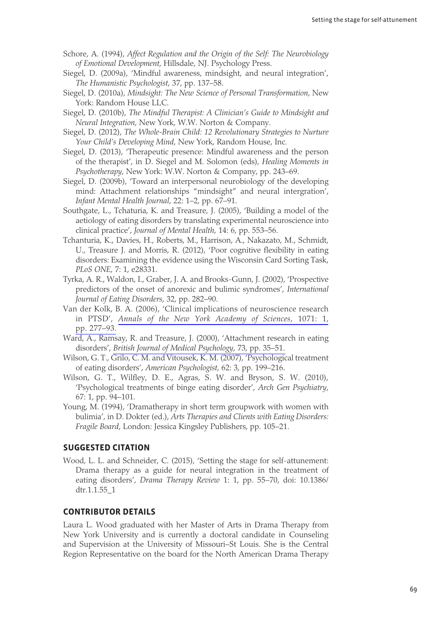- Schore, A. (1994), *Affect Regulation and the Origin of the Self: The Neurobiology of Emotional Development*, Hillsdale, NJ. Psychology Press.
- Siegel, D. (2009a), 'Mindful awareness, mindsight, and neural integration', *The Humanistic Psychologist*, 37, pp. 137–58.
- Siegel, D. (2010a), *Mindsight: The New Science of Personal Transformation*, New York: Random House LLC.
- Siegel, D. (2010b), *The Mindful Therapist: A Clinician's Guide to Mindsight and Neural Integration*, New York, W.W. Norton & Company.
- Siegel, D. (2012), *The Whole-Brain Child: 12 Revolutionary Strategies to Nurture Your Child's Developing Mind*, New York, Random House, Inc*.*
- Siegel, D. (2013), 'Therapeutic presence: Mindful awareness and the person of the therapist', in D. Siegel and M. Solomon (eds), *Healing Moments in Psychotherapy*, New York: W.W. Norton & Company, pp. 243–69.
- Siegel, D. (2009b), 'Toward an interpersonal neurobiology of the developing mind: Attachment relationships "mindsight" and neural intergration', *Infant Mental Health Journal*, 22: 1–2, pp. 67–91.
- Southgate, L., Tchaturia, K. and Treasure, J. (2005), 'Building a model of the aetiology of eating disorders by translating experimental neuroscience into clinical practice', *Journal of Mental Health*, 14: 6, pp. 553–56.
- Tchanturia, K., Davies, H., Roberts, M., Harrison, A., Nakazato, M., Schmidt, U., Treasure J. and Morris, R. (2012), 'Poor cognitive flexibility in eating disorders: Examining the evidence using the Wisconsin Card Sorting Task, *PLoS ONE*, 7: 1, e28331.
- Tyrka, A. R., Waldon, I., Graber, J. A. and Brooks-Gunn, J. (2002), 'Prospective predictors of the onset of anorexic and bulimic syndromes', *International Journal of Eating Disorders*, 32, pp. 282–90.
- Van der Kolk, B. A. (2006), 'Clinical implications of neuroscience research in PTSD', *[Annals of the New York Academy of Sciences](http://www.ingentaconnect.com/content/external-references?article=0077-8923()1071:1L.277[aid=10425407])*, 1071: 1, [pp](http://www.ingentaconnect.com/content/external-references?article=0077-8923()1071:1L.277[aid=10425407]). 277–93.
- Ward, A., Ramsay, R. and Treasure, J. (2000), 'Attachment research in eating disorders', *[British Journal of Medical Psychology](http://www.ingentaconnect.com/content/external-references?article=0007-1129()73L.35[aid=1789620])*, 73, pp. 35–51.
- Wilson, G. T., Grilo, C. M. and Vitousek, K. M. (2007), 'Psychological treatment of eating disorders', *American Psychologist*, 62: 3, pp. 199–216.
- Wilson, G. T., Wilfley, D. E., Agras, S. W. and Bryson, S. W. (2010), 'Psychological treatments of binge eating disorder', *Arch Gen Psychiatry*, 67: 1, pp. 94–101.
- Young, M. (1994), 'Dramatherapy in short term groupwork with women with bulimia', in D. Dokter (ed.), *Arts Therapies and Clients with Eating Disorders: Fragile Board*, London: Jessica Kingsley Publishers, pp. 105–21.

#### **Suggested citation**

Wood, L. L. and Schneider, C. (2015), 'Setting the stage for self-attunement: Drama therapy as a guide for neural integration in the treatment of eating disorders', *Drama Therapy Review* 1: 1, pp. 55–70, doi: 10.1386/ dtr.1.1.55\_1

#### **Contributor details**

Laura L. Wood graduated with her Master of Arts in Drama Therapy from New York University and is currently a doctoral candidate in Counseling and Supervision at the University of Missouri–St Louis. She is the Central Region Representative on the board for the North American Drama Therapy